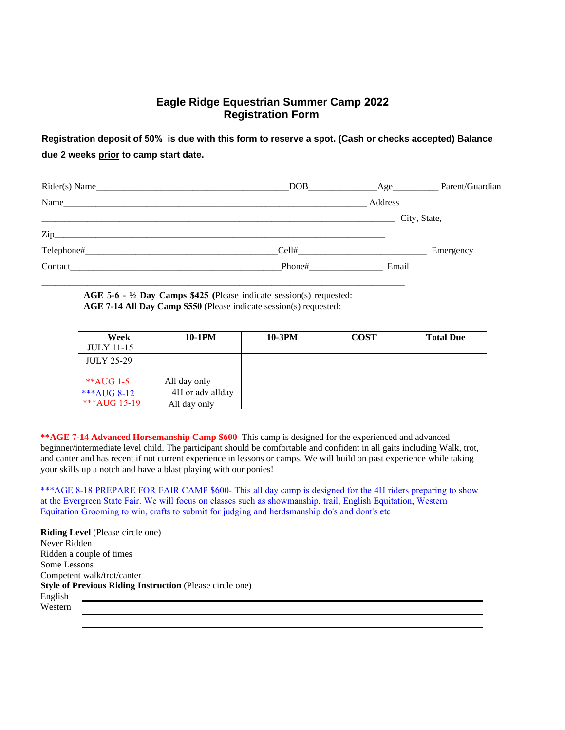# **Eagle Ridge Equestrian Summer Camp 2022 Registration Form**

**Registration deposit of 50% is due with this form to reserve a spot. (Cash or checks accepted) Balance due 2 weeks prior to camp start date.** 

|                                                                                                                                                                                                                                | DOB <sub>2</sub> | $\angle$ Age | Parent/Guardian |
|--------------------------------------------------------------------------------------------------------------------------------------------------------------------------------------------------------------------------------|------------------|--------------|-----------------|
| Name                                                                                                                                                                                                                           |                  | Address      |                 |
|                                                                                                                                                                                                                                |                  |              | City, State,    |
| $\mathsf{Zip}\hspace{-.01in} \rule{0pt}{2.5ex}$                                                                                                                                                                                |                  |              |                 |
|                                                                                                                                                                                                                                | Cell#            |              | Emergency       |
| Contact the contract of the contract of the contract of the contract of the contract of the contract of the contract of the contract of the contract of the contract of the contract of the contract of the contract of the co | Phone#           | Email        |                 |
|                                                                                                                                                                                                                                |                  |              |                 |

**AGE 5-6 - ½ Day Camps \$425 (**Please indicate session(s) requested: **AGE 7-14 All Day Camp \$550** (Please indicate session(s) requested:

| Week              | 10-1PM           | 10-3PM | <b>COST</b> | <b>Total Due</b> |
|-------------------|------------------|--------|-------------|------------------|
| <b>JULY 11-15</b> |                  |        |             |                  |
| <b>JULY 25-29</b> |                  |        |             |                  |
|                   |                  |        |             |                  |
| $*$ AUG 1-5       | All day only     |        |             |                  |
| ***AUG 8-12       | 4H or adv allday |        |             |                  |
| $***AUG15-19$     | All day only     |        |             |                  |

**\*\*AGE 7-14 Advanced Horsemanship Camp \$600**–This camp is designed for the experienced and advanced beginner/intermediate level child. The participant should be comfortable and confident in all gaits including Walk, trot, and canter and has recent if not current experience in lessons or camps. We will build on past experience while taking your skills up a notch and have a blast playing with our ponies!

\*\*\*AGE 8-18 PREPARE FOR FAIR CAMP \$600- This all day camp is designed for the 4H riders preparing to show at the Evergreen State Fair. We will focus on classes such as showmanship, trail, English Equitation, Western Equitation Grooming to win, crafts to submit for judging and herdsmanship do's and dont's etc

**Riding Level** (Please circle one) Never Ridden Ridden a couple of times Some Lessons Competent walk/trot/canter **Style of Previous Riding Instruction** (Please circle one) English Western